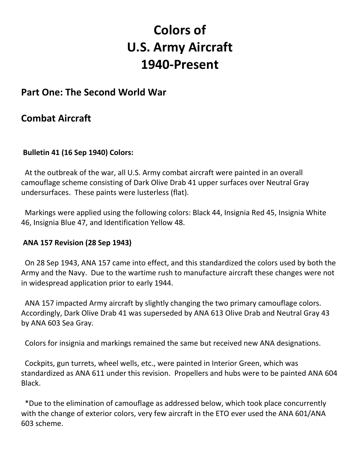# **Colors of U.S. Army Aircraft 1940-Present**

## **Part One: The Second World War**

## **Combat Aircraft**

#### **Bulletin 41 (16 Sep 1940) Colors:**

At the outbreak of the war, all U.S. Army combat aircraft were painted in an overall camouflage scheme consisting of Dark Olive Drab 41 upper surfaces over Neutral Gray undersurfaces. These paints were lusterless (flat).

 Markings were applied using the following colors: Black 44, Insignia Red 45, Insignia White 46, Insignia Blue 47, and Identification Yellow 48.

#### **ANA 157 Revision (28 Sep 1943)**

 On 28 Sep 1943, ANA 157 came into effect, and this standardized the colors used by both the Army and the Navy. Due to the wartime rush to manufacture aircraft these changes were not in widespread application prior to early 1944.

 ANA 157 impacted Army aircraft by slightly changing the two primary camouflage colors. Accordingly, Dark Olive Drab 41 was superseded by ANA 613 Olive Drab and Neutral Gray 43 by ANA 603 Sea Gray.

Colors for insignia and markings remained the same but received new ANA designations.

 Cockpits, gun turrets, wheel wells, etc., were painted in Interior Green, which was standardized as ANA 611 under this revision. Propellers and hubs were to be painted ANA 604 Black.

 \*Due to the elimination of camouflage as addressed below, which took place concurrently with the change of exterior colors, very few aircraft in the ETO ever used the ANA 601/ANA 603 scheme.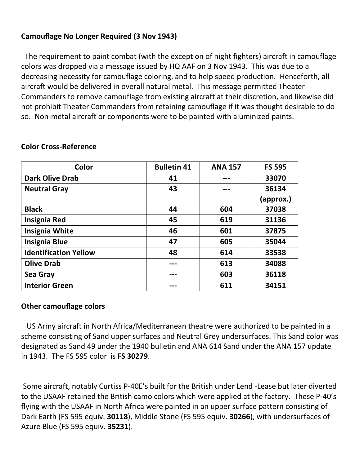### **Camouflage No Longer Required (3 Nov 1943)**

 The requirement to paint combat (with the exception of night fighters) aircraft in camouflage colors was dropped via a message issued by HQ AAF on 3 Nov 1943. This was due to a decreasing necessity for camouflage coloring, and to help speed production. Henceforth, all aircraft would be delivered in overall natural metal. This message permitted Theater Commanders to remove camouflage from existing aircraft at their discretion, and likewise did not prohibit Theater Commanders from retaining camouflage if it was thought desirable to do so. Non-metal aircraft or components were to be painted with aluminized paints.

| Color                        | <b>Bulletin 41</b> | <b>ANA 157</b> | <b>FS 595</b> |
|------------------------------|--------------------|----------------|---------------|
| <b>Dark Olive Drab</b>       | 41                 |                | 33070         |
| <b>Neutral Gray</b>          | 43                 |                | 36134         |
|                              |                    |                | (approx.)     |
| <b>Black</b>                 | 44                 | 604            | 37038         |
| <b>Insignia Red</b>          | 45                 | 619            | 31136         |
| <b>Insignia White</b>        | 46                 | 601            | 37875         |
| <b>Insignia Blue</b>         | 47                 | 605            | 35044         |
| <b>Identification Yellow</b> | 48                 | 614            | 33538         |
| <b>Olive Drab</b>            |                    | 613            | 34088         |
| <b>Sea Gray</b>              |                    | 603            | 36118         |
| <b>Interior Green</b>        |                    | 611            | 34151         |

#### **Color Cross-Reference**

#### **Other camouflage colors**

US Army aircraft in North Africa/Mediterranean theatre were authorized to be painted in a scheme consisting of Sand upper surfaces and Neutral Grey undersurfaces. This Sand color was designated as Sand 49 under the 1940 bulletin and ANA 614 Sand under the ANA 157 update in 1943. The FS 595 color is **FS 30279**.

Some aircraft, notably Curtiss P-40E's built for the British under Lend -Lease but later diverted to the USAAF retained the British camo colors which were applied at the factory. These P-40's flying with the USAAF in North Africa were painted in an upper surface pattern consisting of Dark Earth (FS 595 equiv. **30118**), Middle Stone (FS 595 equiv. **30266**), with undersurfaces of Azure Blue (FS 595 equiv. **35231**).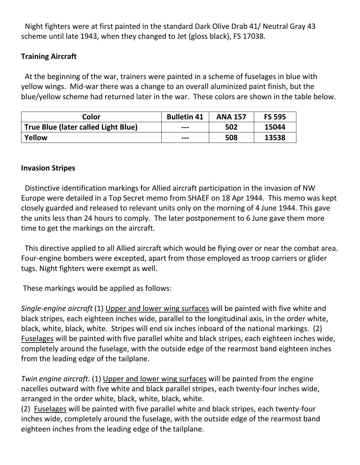Night fighters were at first painted in the standard Dark Olive Drab 41/ Neutral Gray 43 scheme until late 1943, when they changed to Jet (gloss black), FS 17038.

### **Training Aircraft**

At the beginning of the war, trainers were painted in a scheme of fuselages in blue with yellow wings. Mid-war there was a change to an overall aluminized paint finish, but the blue/yellow scheme had returned later in the war. These colors are shown in the table below.

| Color                               | <b>Bulletin 41</b> | <b>ANA 157</b> | <b>FS 595</b> |
|-------------------------------------|--------------------|----------------|---------------|
| True Blue (later called Light Blue) | $- - -$            | 502            | 15044         |
| Yellow                              | $- - -$            | 508            | 13538         |

#### **Invasion Stripes**

Distinctive identification markings for Allied aircraft participation in the invasion of NW Europe were detailed in a Top Secret memo from SHAEF on 18 Apr 1944. This memo was kept closely guarded and released to relevant units only on the morning of 4 June 1944. This gave the units less than 24 hours to comply. The later postponement to 6 June gave them more time to get the markings on the aircraft.

 This directive applied to all Allied aircraft which would be flying over or near the combat area. Four-engine bombers were excepted, apart from those employed as troop carriers or glider tugs. Night fighters were exempt as well.

These markings would be applied as follows:

*Single-engine aircraft* (1) Upper and lower wing surfaces will be painted with five white and black stripes, each eighteen inches wide, parallel to the longitudinal axis, in the order white, black, white, black, white. Stripes will end six inches inboard of the national markings. (2) Fuselages will be painted with five parallel white and black stripes, each eighteen inches wide, completely around the fuselage, with the outside edge of the rearmost band eighteen inches from the leading edge of the tailplane.

*Twin engine aircraft*. (1) Upper and lower wing surfaces will be painted from the engine nacelles outward with five white and black parallel stripes, each twenty-four inches wide, arranged in the order white, black, white, black, white.

(2) Fuselages will be painted with five parallel white and black stripes, each twenty-four inches wide, completely around the fuselage, with the outside edge of the rearmost band eighteen inches from the leading edge of the tailplane.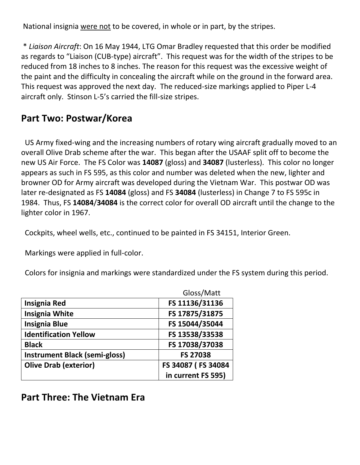National insignia were not to be covered, in whole or in part, by the stripes.

\* *Liaison Aircraft*: On 16 May 1944, LTG Omar Bradley requested that this order be modified as regards to "Liaison (CUB-type) aircraft". This request was for the width of the stripes to be reduced from 18 inches to 8 inches. The reason for this request was the excessive weight of the paint and the difficulty in concealing the aircraft while on the ground in the forward area. This request was approved the next day. The reduced-size markings applied to Piper L-4 aircraft only. Stinson L-5's carried the fill-size stripes.

## **Part Two: Postwar/Korea**

 US Army fixed-wing and the increasing numbers of rotary wing aircraft gradually moved to an overall Olive Drab scheme after the war. This began after the USAAF split off to become the new US Air Force. The FS Color was **14087** (gloss) and **34087** (lusterless). This color no longer appears as such in FS 595, as this color and number was deleted when the new, lighter and browner OD for Army aircraft was developed during the Vietnam War. This postwar OD was later re-designated as FS **14084** (gloss) and FS **34084** (lusterless) in Change 7 to FS 595c in 1984. Thus, FS **14084**/**34084** is the correct color for overall OD aircraft until the change to the lighter color in 1967.

Cockpits, wheel wells, etc., continued to be painted in FS 34151, Interior Green.

Markings were applied in full-color.

Colors for insignia and markings were standardized under the FS system during this period.

|                                      | Gloss/Matt         |
|--------------------------------------|--------------------|
| <b>Insignia Red</b>                  | FS 11136/31136     |
| <b>Insignia White</b>                | FS 17875/31875     |
| <b>Insignia Blue</b>                 | FS 15044/35044     |
| <b>Identification Yellow</b>         | FS 13538/33538     |
| <b>Black</b>                         | FS 17038/37038     |
| <b>Instrument Black (semi-gloss)</b> | <b>FS 27038</b>    |
| <b>Olive Drab (exterior)</b>         | FS 34087 (FS 34084 |
|                                      | in current FS 595) |

**Part Three: The Vietnam Era**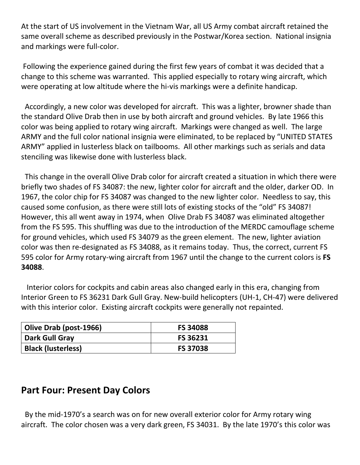At the start of US involvement in the Vietnam War, all US Army combat aircraft retained the same overall scheme as described previously in the Postwar/Korea section. National insignia and markings were full-color.

Following the experience gained during the first few years of combat it was decided that a change to this scheme was warranted. This applied especially to rotary wing aircraft, which were operating at low altitude where the hi-vis markings were a definite handicap.

 Accordingly, a new color was developed for aircraft. This was a lighter, browner shade than the standard Olive Drab then in use by both aircraft and ground vehicles. By late 1966 this color was being applied to rotary wing aircraft. Markings were changed as well. The large ARMY and the full color national insignia were eliminated, to be replaced by "UNITED STATES ARMY" applied in lusterless black on tailbooms. All other markings such as serials and data stenciling was likewise done with lusterless black.

 This change in the overall Olive Drab color for aircraft created a situation in which there were briefly two shades of FS 34087: the new, lighter color for aircraft and the older, darker OD. In 1967, the color chip for FS 34087 was changed to the new lighter color. Needless to say, this caused some confusion, as there were still lots of existing stocks of the "old" FS 34087! However, this all went away in 1974, when Olive Drab FS 34087 was eliminated altogether from the FS 595. This shuffling was due to the introduction of the MERDC camouflage scheme for ground vehicles, which used FS 34079 as the green element. The new, lighter aviation color was then re-designated as FS 34088, as it remains today. Thus, the correct, current FS 595 color for Army rotary-wing aircraft from 1967 until the change to the current colors is **FS 34088**.

 Interior colors for cockpits and cabin areas also changed early in this era, changing from Interior Green to FS 36231 Dark Gull Gray. New-build helicopters (UH-1, CH-47) were delivered with this interior color. Existing aircraft cockpits were generally not repainted.

| Olive Drab (post-1966)    | <b>FS 34088</b> |
|---------------------------|-----------------|
| Dark Gull Gray            | <b>FS 36231</b> |
| <b>Black (lusterless)</b> | <b>FS 37038</b> |

## **Part Four: Present Day Colors**

By the mid-1970's a search was on for new overall exterior color for Army rotary wing aircraft. The color chosen was a very dark green, FS 34031. By the late 1970's this color was